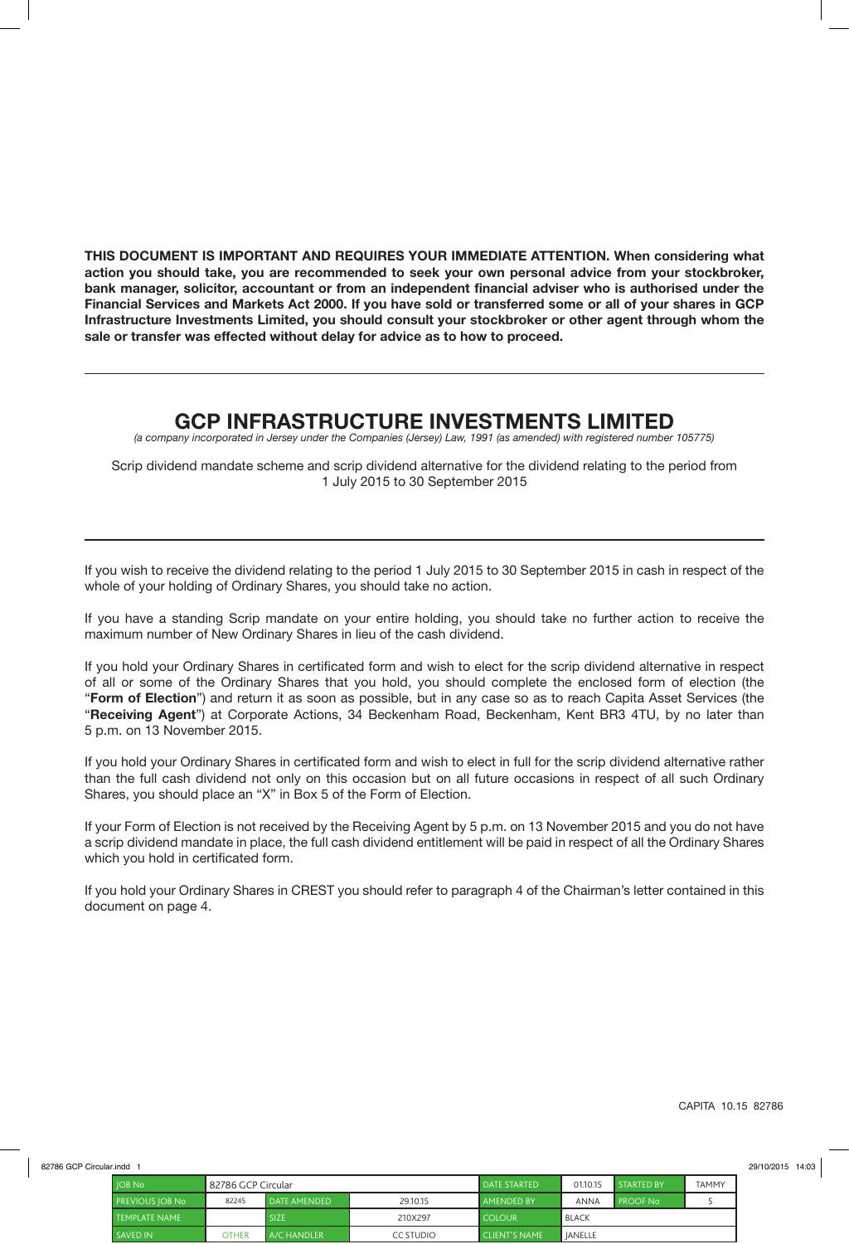**THIS DOCUMENT IS IMPORTANT AND REQUIRES YOUR IMMEDIATE ATTENTION. When considering what action you should take, you are recommended to seek your own personal advice from your stockbroker, bank manager, solicitor, accountant or from an independent financial adviser who is authorised under the Financial Services and Markets Act 2000. If you have sold or transferred some or all of your shares in GCP Infrastructure Investments Limited, you should consult your stockbroker or other agent through whom the sale or transfer was effected without delay for advice as to how to proceed.**

## **GCP INFRASTRUCTURE INVESTMENTS LIMITED**

*(a company incorporated in Jersey under the Companies (Jersey) Law, 1991 (as amended) with registered number 105775)*

Scrip dividend mandate scheme and scrip dividend alternative for the dividend relating to the period from 1 July 2015 to 30 September 2015

If you wish to receive the dividend relating to the period 1 July 2015 to 30 September 2015 in cash in respect of the whole of your holding of Ordinary Shares, you should take no action.

If you have a standing Scrip mandate on your entire holding, you should take no further action to receive the maximum number of New Ordinary Shares in lieu of the cash dividend.

If you hold your Ordinary Shares in certificated form and wish to elect for the scrip dividend alternative in respect of all or some of the Ordinary Shares that you hold, you should complete the enclosed form of election (the "**Form of Election**") and return it as soon as possible, but in any case so as to reach Capita Asset Services (the "**Receiving Agent**") at Corporate Actions, 34 Beckenham Road, Beckenham, Kent BR3 4TU, by no later than 5 p.m. on 13 November 2015.

If you hold your Ordinary Shares in certificated form and wish to elect in full for the scrip dividend alternative rather than the full cash dividend not only on this occasion but on all future occasions in respect of all such Ordinary Shares, you should place an "X" in Box 5 of the Form of Election.

If your Form of Election is not received by the Receiving Agent by 5 p.m. on 13 November 2015 and you do not have a scrip dividend mandate in place, the full cash dividend entitlement will be paid in respect of all the Ordinary Shares which you hold in certificated form.

If you hold your Ordinary Shares in CREST you should refer to paragraph 4 of the Chairman's letter contained in this document on page 4.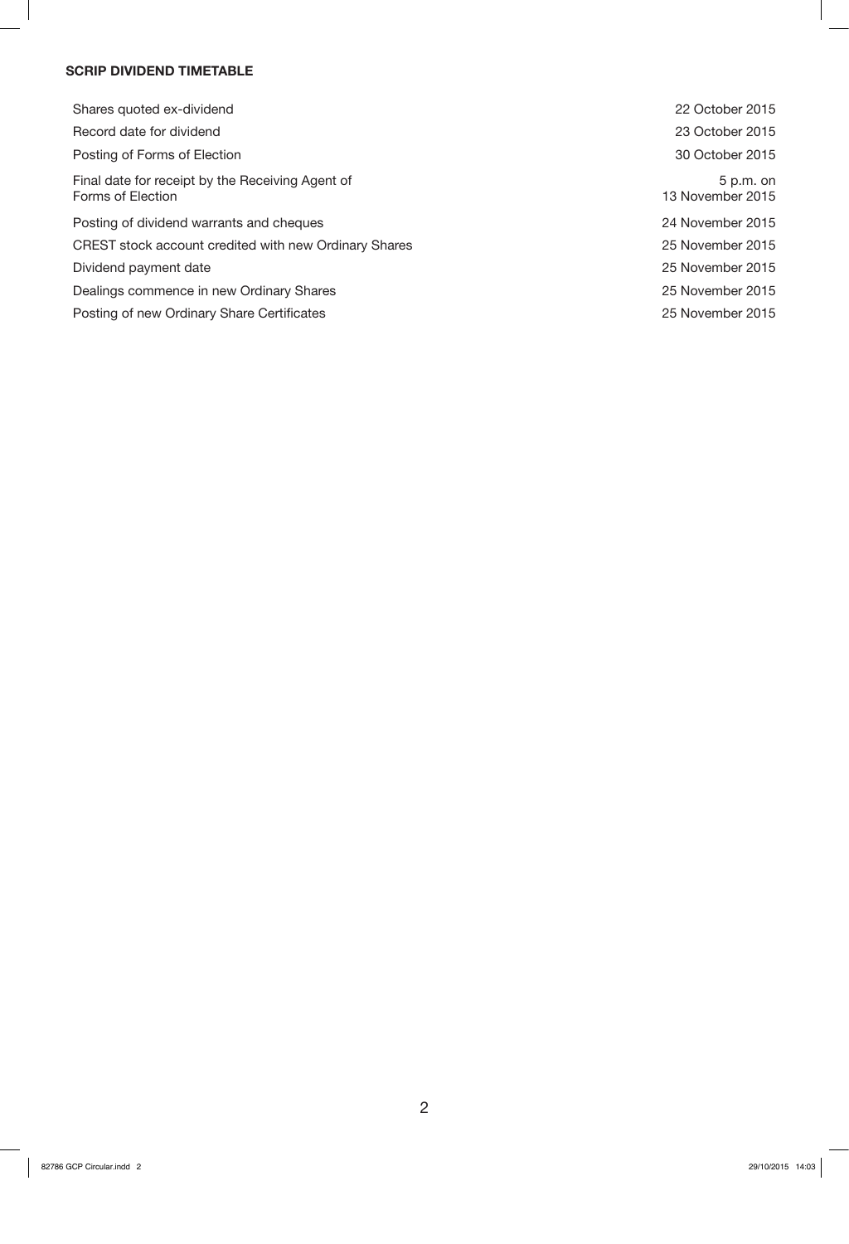## **SCRIP DIVIDEND TIMETABLE**

| Shares quoted ex-dividend                                             | 22 October 2015                 |
|-----------------------------------------------------------------------|---------------------------------|
| Record date for dividend                                              | 23 October 2015                 |
| Posting of Forms of Election                                          | 30 October 2015                 |
| Final date for receipt by the Receiving Agent of<br>Forms of Election | $5 p.m.$ on<br>13 November 2015 |
| Posting of dividend warrants and cheques                              | 24 November 2015                |
| CREST stock account credited with new Ordinary Shares                 | 25 November 2015                |
| Dividend payment date                                                 | 25 November 2015                |
| Dealings commence in new Ordinary Shares                              | 25 November 2015                |
| Posting of new Ordinary Share Certificates                            | 25 November 2015                |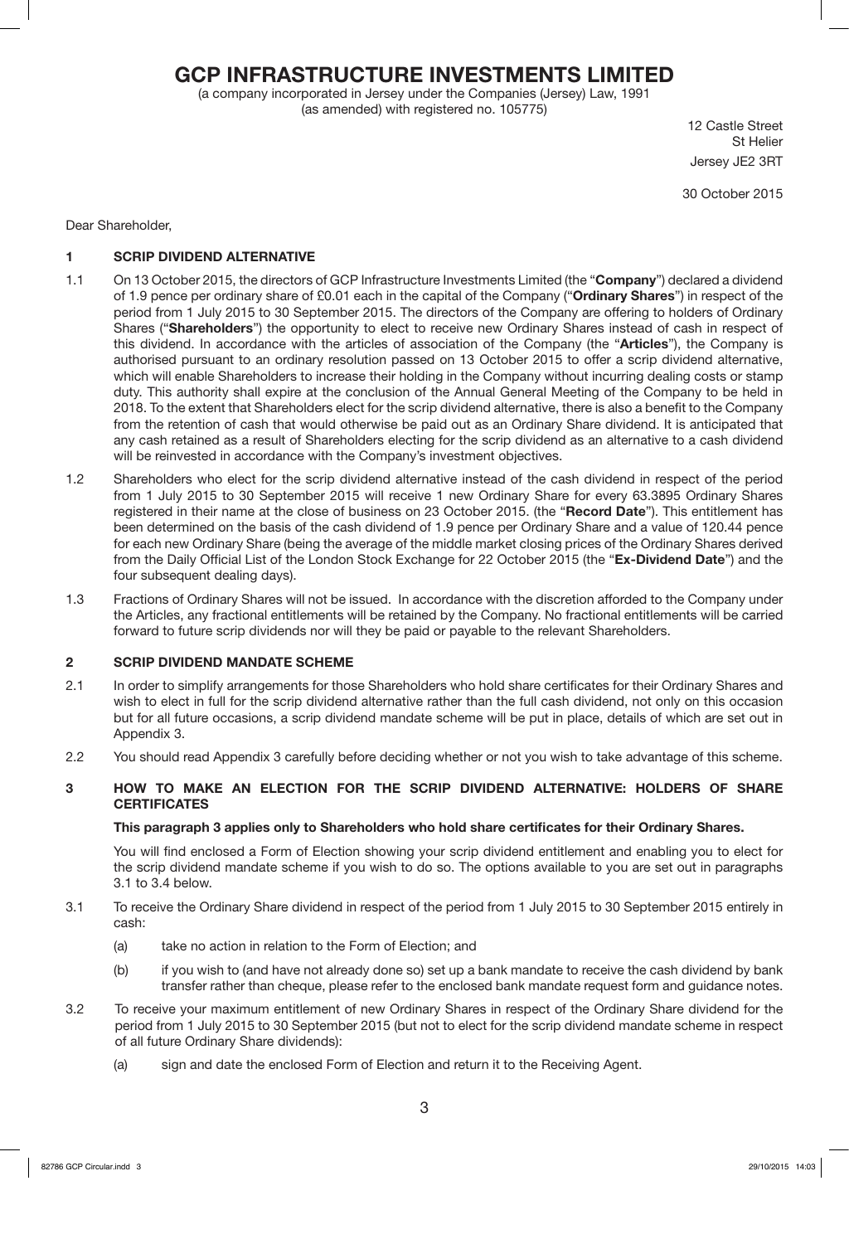# **GCP INFRASTRUCTURE INVESTMENTS LIMITED**

(a company incorporated in Jersey under the Companies (Jersey) Law, 1991 (as amended) with registered no. 105775)

12 Castle Street St Helier Jersey JE2 3RT

30 October 2015

Dear Shareholder,

## **1 SCRIP DIVIDEND ALTERNATIVE**

- 1.1 On 13 October 2015, the directors of GCP Infrastructure Investments Limited (the "**Company**") declared a dividend of 1.9 pence per ordinary share of £0.01 each in the capital of the Company ("**Ordinary Shares**") in respect of the period from 1 July 2015 to 30 September 2015. The directors of the Company are offering to holders of Ordinary Shares ("**Shareholders**") the opportunity to elect to receive new Ordinary Shares instead of cash in respect of this dividend. In accordance with the articles of association of the Company (the "**Articles**"), the Company is authorised pursuant to an ordinary resolution passed on 13 October 2015 to offer a scrip dividend alternative, which will enable Shareholders to increase their holding in the Company without incurring dealing costs or stamp duty. This authority shall expire at the conclusion of the Annual General Meeting of the Company to be held in 2018. To the extent that Shareholders elect for the scrip dividend alternative, there is also a benefit to the Company from the retention of cash that would otherwise be paid out as an Ordinary Share dividend. It is anticipated that any cash retained as a result of Shareholders electing for the scrip dividend as an alternative to a cash dividend will be reinvested in accordance with the Company's investment objectives.
- 1.2 Shareholders who elect for the scrip dividend alternative instead of the cash dividend in respect of the period from 1 July 2015 to 30 September 2015 will receive 1 new Ordinary Share for every 63.3895 Ordinary Shares registered in their name at the close of business on 23 October 2015. (the "**Record Date**"). This entitlement has been determined on the basis of the cash dividend of 1.9 pence per Ordinary Share and a value of 120.44 pence for each new Ordinary Share (being the average of the middle market closing prices of the Ordinary Shares derived from the Daily Official List of the London Stock Exchange for 22 October 2015 (the "**Ex-Dividend Date**") and the four subsequent dealing days).
- 1.3 Fractions of Ordinary Shares will not be issued. In accordance with the discretion afforded to the Company under the Articles, any fractional entitlements will be retained by the Company. No fractional entitlements will be carried forward to future scrip dividends nor will they be paid or payable to the relevant Shareholders.

### **2 SCRIP DIVIDEND MANDATE SCHEME**

- 2.1 In order to simplify arrangements for those Shareholders who hold share certificates for their Ordinary Shares and wish to elect in full for the scrip dividend alternative rather than the full cash dividend, not only on this occasion but for all future occasions, a scrip dividend mandate scheme will be put in place, details of which are set out in Appendix 3.
- 2.2 You should read Appendix 3 carefully before deciding whether or not you wish to take advantage of this scheme.

### **3 HOW TO MAKE AN ELECTION FOR THE SCRIP DIVIDEND ALTERNATIVE: HOLDERS OF SHARE CERTIFICATES**

### **This paragraph 3 applies only to Shareholders who hold share certificates for their Ordinary Shares.**

You will find enclosed a Form of Election showing your scrip dividend entitlement and enabling you to elect for the scrip dividend mandate scheme if you wish to do so. The options available to you are set out in paragraphs 3.1 to 3.4 below.

- 3.1 To receive the Ordinary Share dividend in respect of the period from 1 July 2015 to 30 September 2015 entirely in cash:
	- (a) take no action in relation to the Form of Election; and
	- (b) if you wish to (and have not already done so) set up a bank mandate to receive the cash dividend by bank transfer rather than cheque, please refer to the enclosed bank mandate request form and guidance notes.
- 3.2 To receive your maximum entitlement of new Ordinary Shares in respect of the Ordinary Share dividend for the period from 1 July 2015 to 30 September 2015 (but not to elect for the scrip dividend mandate scheme in respect of all future Ordinary Share dividends):
	- (a) sign and date the enclosed Form of Election and return it to the Receiving Agent.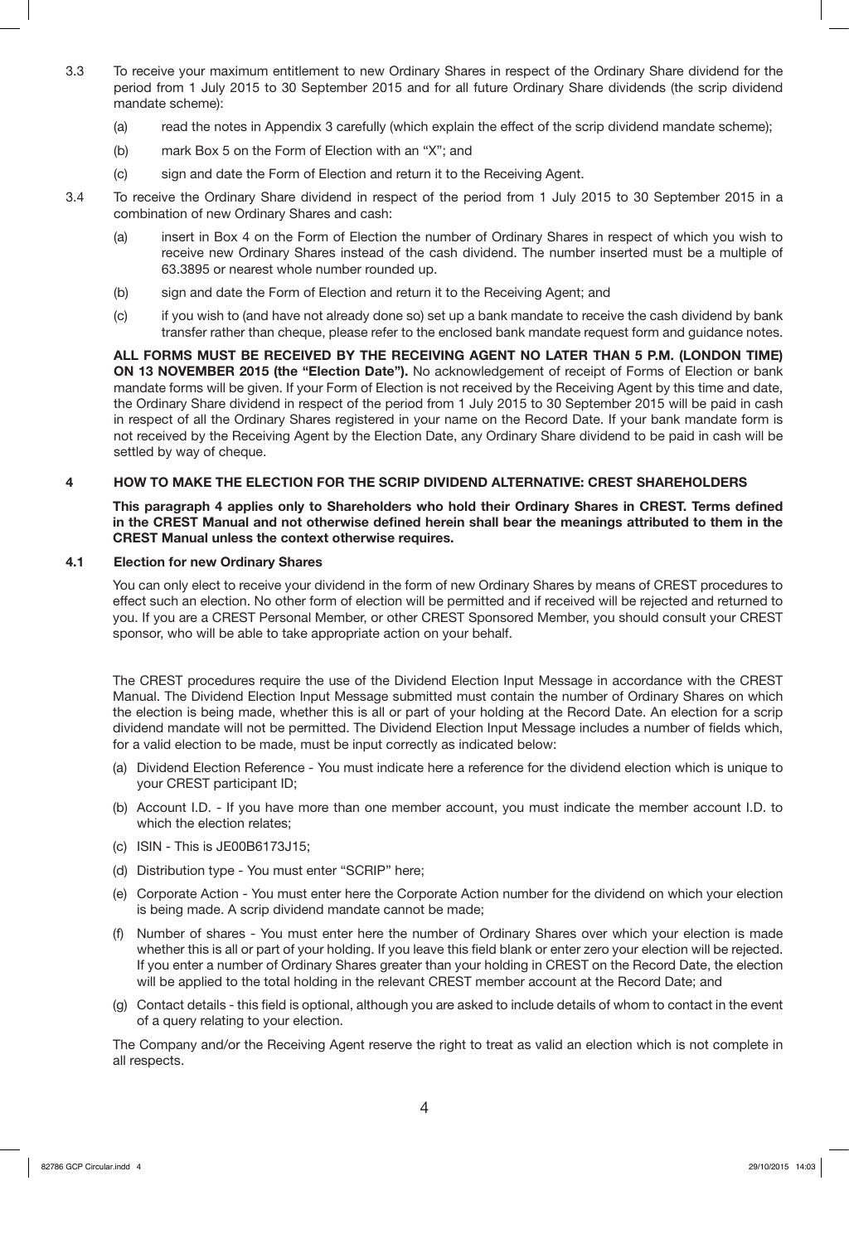- 3.3 To receive your maximum entitlement to new Ordinary Shares in respect of the Ordinary Share dividend for the period from 1 July 2015 to 30 September 2015 and for all future Ordinary Share dividends (the scrip dividend mandate scheme):
	- (a) read the notes in Appendix 3 carefully (which explain the effect of the scrip dividend mandate scheme);
	- (b) mark Box 5 on the Form of Election with an "X"; and
	- (c) sign and date the Form of Election and return it to the Receiving Agent.
- 3.4 To receive the Ordinary Share dividend in respect of the period from 1 July 2015 to 30 September 2015 in a combination of new Ordinary Shares and cash:
	- (a) insert in Box 4 on the Form of Election the number of Ordinary Shares in respect of which you wish to receive new Ordinary Shares instead of the cash dividend. The number inserted must be a multiple of 63.3895 or nearest whole number rounded up.
	- (b) sign and date the Form of Election and return it to the Receiving Agent; and
	- (c) if you wish to (and have not already done so) set up a bank mandate to receive the cash dividend by bank transfer rather than cheque, please refer to the enclosed bank mandate request form and guidance notes.

**ALL FORMS MUST BE RECEIVED BY THE RECEIVING AGENT NO LATER THAN 5 P.M. (LONDON TIME) ON 13 NOVEMBER 2015 (the "Election Date").** No acknowledgement of receipt of Forms of Election or bank mandate forms will be given. If your Form of Election is not received by the Receiving Agent by this time and date, the Ordinary Share dividend in respect of the period from 1 July 2015 to 30 September 2015 will be paid in cash in respect of all the Ordinary Shares registered in your name on the Record Date. If your bank mandate form is not received by the Receiving Agent by the Election Date, any Ordinary Share dividend to be paid in cash will be settled by way of cheque.

### **4 HOW TO MAKE THE ELECTION FOR THE SCRIP DIVIDEND ALTERNATIVE: CREST SHAREHOLDERS**

**This paragraph 4 applies only to Shareholders who hold their Ordinary Shares in CREST. Terms defined in the CREST Manual and not otherwise defined herein shall bear the meanings attributed to them in the CREST Manual unless the context otherwise requires.** 

#### **4.1 Election for new Ordinary Shares**

You can only elect to receive your dividend in the form of new Ordinary Shares by means of CREST procedures to effect such an election. No other form of election will be permitted and if received will be rejected and returned to you. If you are a CREST Personal Member, or other CREST Sponsored Member, you should consult your CREST sponsor, who will be able to take appropriate action on your behalf.

The CREST procedures require the use of the Dividend Election Input Message in accordance with the CREST Manual. The Dividend Election Input Message submitted must contain the number of Ordinary Shares on which the election is being made, whether this is all or part of your holding at the Record Date. An election for a scrip dividend mandate will not be permitted. The Dividend Election Input Message includes a number of fields which, for a valid election to be made, must be input correctly as indicated below:

- (a) Dividend Election Reference You must indicate here a reference for the dividend election which is unique to your CREST participant ID;
- (b) Account I.D. If you have more than one member account, you must indicate the member account I.D. to which the election relates;
- (c) ISIN This is JE00B6173J15;
- (d) Distribution type You must enter "SCRIP" here;
- (e) Corporate Action You must enter here the Corporate Action number for the dividend on which your election is being made. A scrip dividend mandate cannot be made;
- (f) Number of shares You must enter here the number of Ordinary Shares over which your election is made whether this is all or part of your holding. If you leave this field blank or enter zero your election will be rejected. If you enter a number of Ordinary Shares greater than your holding in CREST on the Record Date, the election will be applied to the total holding in the relevant CREST member account at the Record Date; and
- (g) Contact details this field is optional, although you are asked to include details of whom to contact in the event of a query relating to your election.

The Company and/or the Receiving Agent reserve the right to treat as valid an election which is not complete in all respects.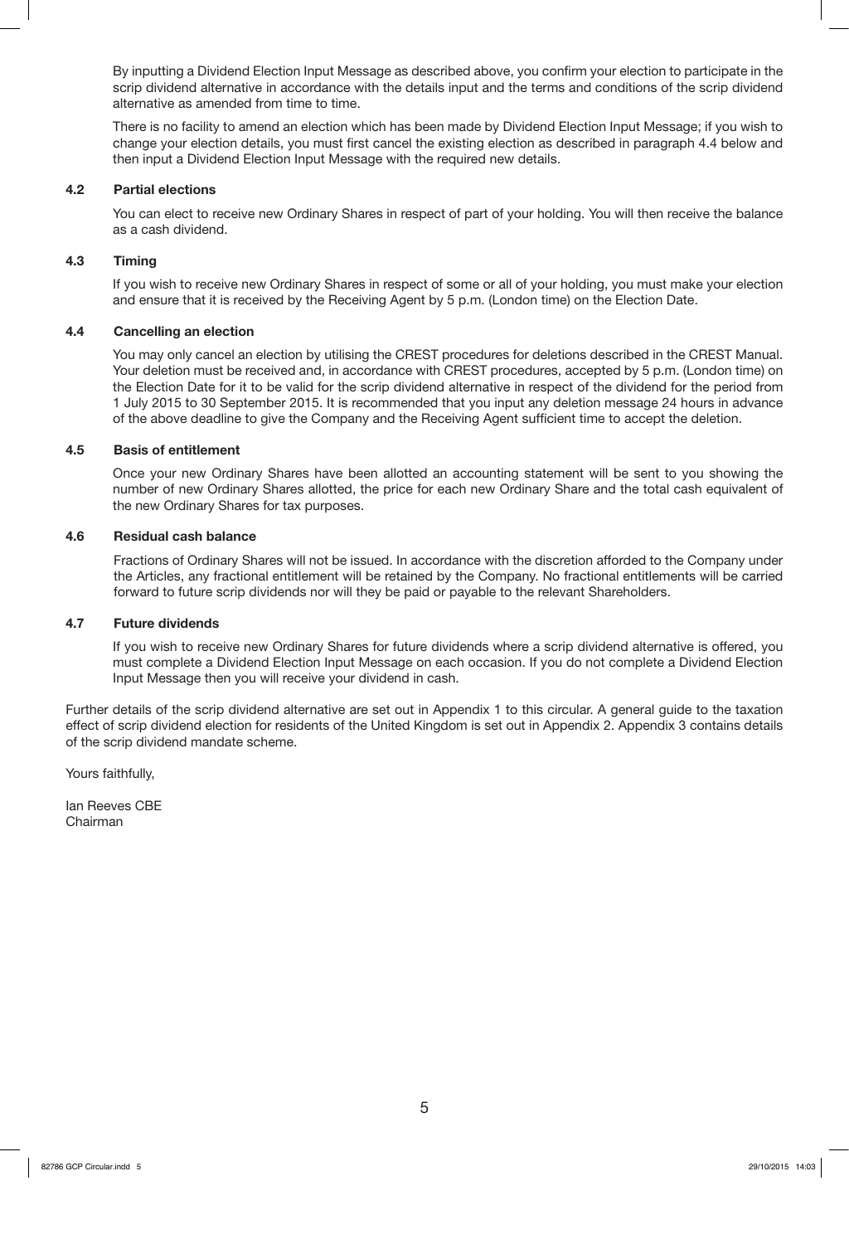By inputting a Dividend Election Input Message as described above, you confirm your election to participate in the scrip dividend alternative in accordance with the details input and the terms and conditions of the scrip dividend alternative as amended from time to time.

There is no facility to amend an election which has been made by Dividend Election Input Message; if you wish to change your election details, you must first cancel the existing election as described in paragraph 4.4 below and then input a Dividend Election Input Message with the required new details.

#### **4.2 Partial elections**

You can elect to receive new Ordinary Shares in respect of part of your holding. You will then receive the balance as a cash dividend.

#### **4.3 Timing**

If you wish to receive new Ordinary Shares in respect of some or all of your holding, you must make your election and ensure that it is received by the Receiving Agent by 5 p.m. (London time) on the Election Date.

#### **4.4 Cancelling an election**

You may only cancel an election by utilising the CREST procedures for deletions described in the CREST Manual. Your deletion must be received and, in accordance with CREST procedures, accepted by 5 p.m. (London time) on the Election Date for it to be valid for the scrip dividend alternative in respect of the dividend for the period from 1 July 2015 to 30 September 2015. It is recommended that you input any deletion message 24 hours in advance of the above deadline to give the Company and the Receiving Agent sufficient time to accept the deletion.

#### **4.5 Basis of entitlement**

Once your new Ordinary Shares have been allotted an accounting statement will be sent to you showing the number of new Ordinary Shares allotted, the price for each new Ordinary Share and the total cash equivalent of the new Ordinary Shares for tax purposes.

#### **4.6 Residual cash balance**

Fractions of Ordinary Shares will not be issued. In accordance with the discretion afforded to the Company under the Articles, any fractional entitlement will be retained by the Company. No fractional entitlements will be carried forward to future scrip dividends nor will they be paid or payable to the relevant Shareholders.

#### **4.7 Future dividends**

If you wish to receive new Ordinary Shares for future dividends where a scrip dividend alternative is offered, you must complete a Dividend Election Input Message on each occasion. If you do not complete a Dividend Election Input Message then you will receive your dividend in cash.

Further details of the scrip dividend alternative are set out in Appendix 1 to this circular. A general guide to the taxation effect of scrip dividend election for residents of the United Kingdom is set out in Appendix 2. Appendix 3 contains details of the scrip dividend mandate scheme.

Yours faithfully,

Ian Reeves CBE Chairman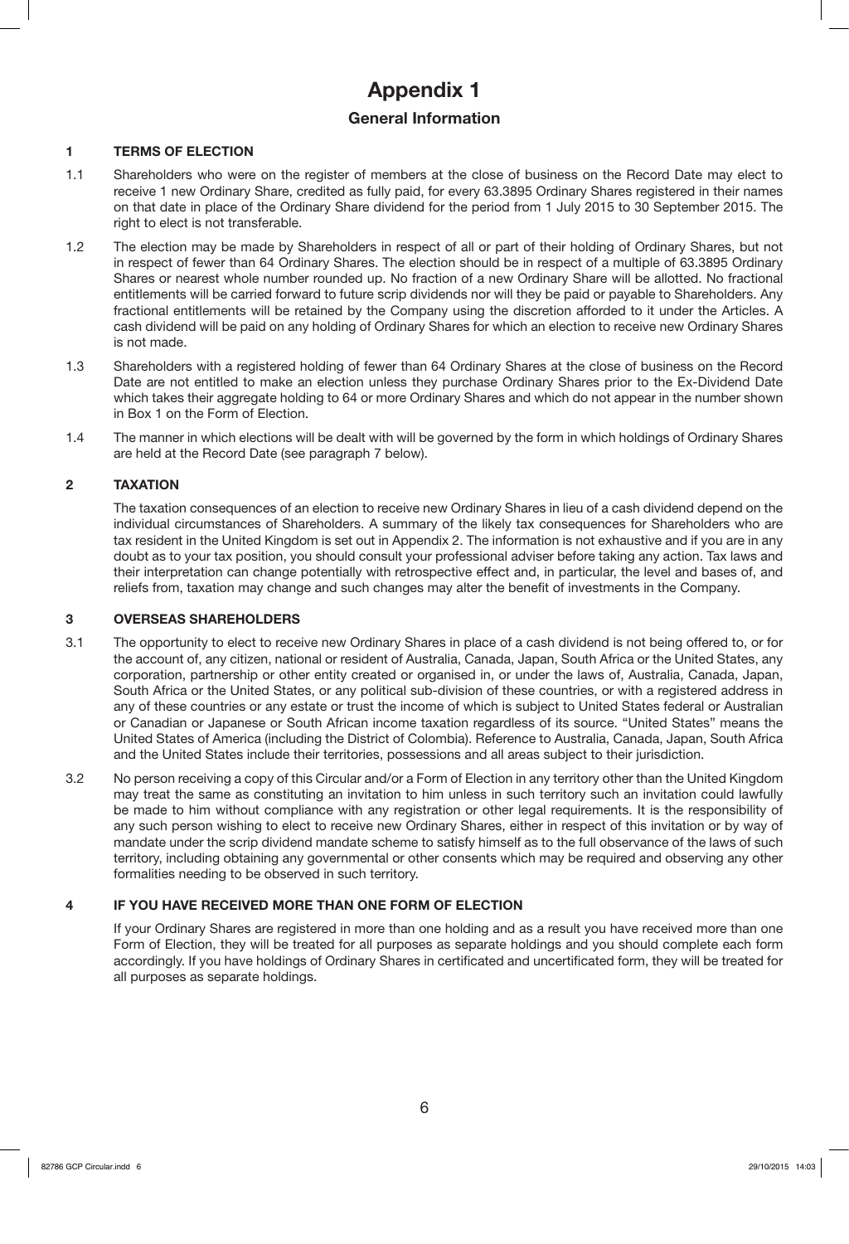# **Appendix 1**

## **General Information**

## **1 TERMS OF ELECTION**

- 1.1 Shareholders who were on the register of members at the close of business on the Record Date may elect to receive 1 new Ordinary Share, credited as fully paid, for every 63.3895 Ordinary Shares registered in their names on that date in place of the Ordinary Share dividend for the period from 1 July 2015 to 30 September 2015. The right to elect is not transferable.
- 1.2 The election may be made by Shareholders in respect of all or part of their holding of Ordinary Shares, but not in respect of fewer than 64 Ordinary Shares. The election should be in respect of a multiple of 63.3895 Ordinary Shares or nearest whole number rounded up. No fraction of a new Ordinary Share will be allotted. No fractional entitlements will be carried forward to future scrip dividends nor will they be paid or payable to Shareholders. Any fractional entitlements will be retained by the Company using the discretion afforded to it under the Articles. A cash dividend will be paid on any holding of Ordinary Shares for which an election to receive new Ordinary Shares is not made.
- 1.3 Shareholders with a registered holding of fewer than 64 Ordinary Shares at the close of business on the Record Date are not entitled to make an election unless they purchase Ordinary Shares prior to the Ex-Dividend Date which takes their aggregate holding to 64 or more Ordinary Shares and which do not appear in the number shown in Box 1 on the Form of Election.
- 1.4 The manner in which elections will be dealt with will be governed by the form in which holdings of Ordinary Shares are held at the Record Date (see paragraph 7 below).

## **2 TAXATION**

 The taxation consequences of an election to receive new Ordinary Shares in lieu of a cash dividend depend on the individual circumstances of Shareholders. A summary of the likely tax consequences for Shareholders who are tax resident in the United Kingdom is set out in Appendix 2. The information is not exhaustive and if you are in any doubt as to your tax position, you should consult your professional adviser before taking any action. Tax laws and their interpretation can change potentially with retrospective effect and, in particular, the level and bases of, and reliefs from, taxation may change and such changes may alter the benefit of investments in the Company.

## **3 OVERSEAS SHAREHOLDERS**

- 3.1 The opportunity to elect to receive new Ordinary Shares in place of a cash dividend is not being offered to, or for the account of, any citizen, national or resident of Australia, Canada, Japan, South Africa or the United States, any corporation, partnership or other entity created or organised in, or under the laws of, Australia, Canada, Japan, South Africa or the United States, or any political sub-division of these countries, or with a registered address in any of these countries or any estate or trust the income of which is subject to United States federal or Australian or Canadian or Japanese or South African income taxation regardless of its source. "United States" means the United States of America (including the District of Colombia). Reference to Australia, Canada, Japan, South Africa and the United States include their territories, possessions and all areas subject to their jurisdiction.
- 3.2 No person receiving a copy of this Circular and/or a Form of Election in any territory other than the United Kingdom may treat the same as constituting an invitation to him unless in such territory such an invitation could lawfully be made to him without compliance with any registration or other legal requirements. It is the responsibility of any such person wishing to elect to receive new Ordinary Shares, either in respect of this invitation or by way of mandate under the scrip dividend mandate scheme to satisfy himself as to the full observance of the laws of such territory, including obtaining any governmental or other consents which may be required and observing any other formalities needing to be observed in such territory.

## **4 IF YOU HAVE RECEIVED MORE THAN ONE FORM OF ELECTION**

If your Ordinary Shares are registered in more than one holding and as a result you have received more than one Form of Election, they will be treated for all purposes as separate holdings and you should complete each form accordingly. If you have holdings of Ordinary Shares in certificated and uncertificated form, they will be treated for all purposes as separate holdings.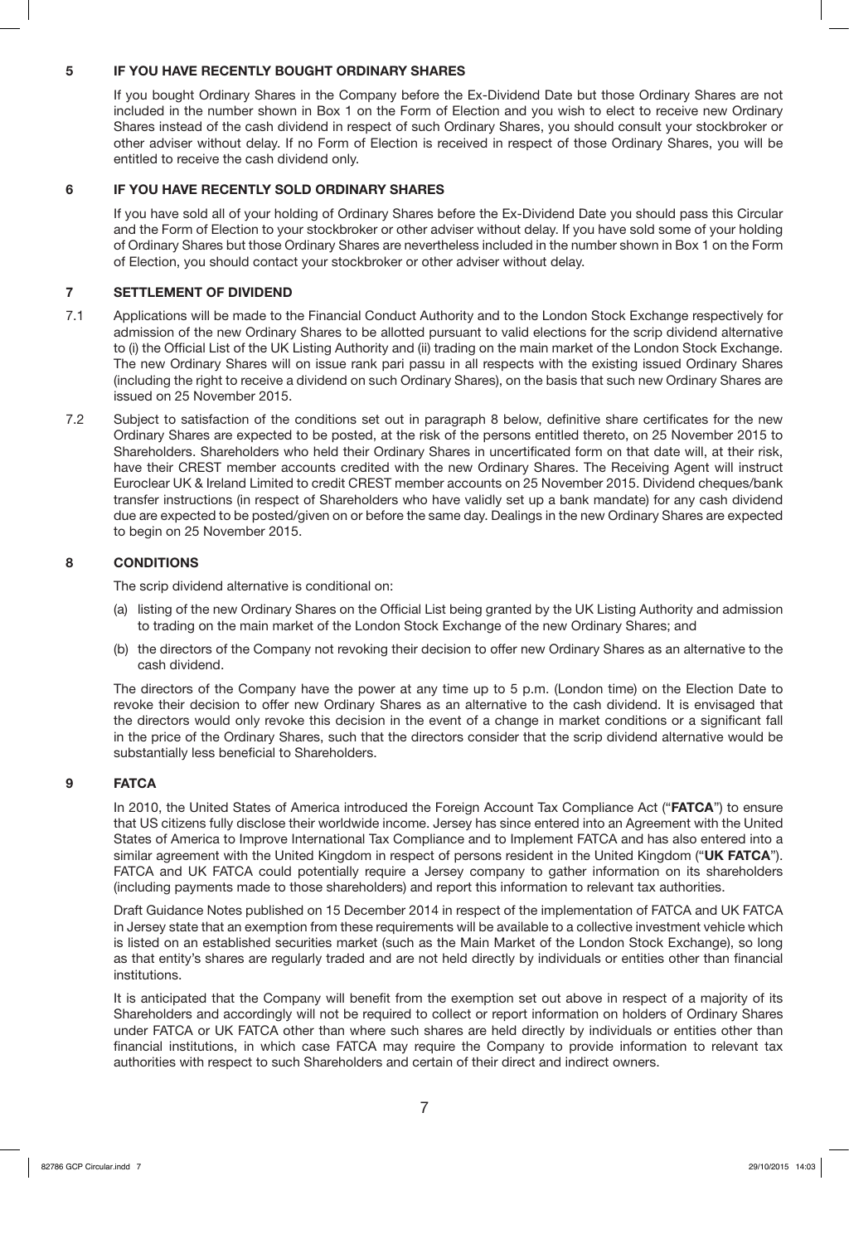## **5 IF YOU HAVE RECENTLY BOUGHT ORDINARY SHARES**

If you bought Ordinary Shares in the Company before the Ex-Dividend Date but those Ordinary Shares are not included in the number shown in Box 1 on the Form of Election and you wish to elect to receive new Ordinary Shares instead of the cash dividend in respect of such Ordinary Shares, you should consult your stockbroker or other adviser without delay. If no Form of Election is received in respect of those Ordinary Shares, you will be entitled to receive the cash dividend only.

## **6 IF YOU HAVE RECENTLY SOLD ORDINARY SHARES**

If you have sold all of your holding of Ordinary Shares before the Ex-Dividend Date you should pass this Circular and the Form of Election to your stockbroker or other adviser without delay. If you have sold some of your holding of Ordinary Shares but those Ordinary Shares are nevertheless included in the number shown in Box 1 on the Form of Election, you should contact your stockbroker or other adviser without delay.

## **7 SETTLEMENT OF DIVIDEND**

- 7.1 Applications will be made to the Financial Conduct Authority and to the London Stock Exchange respectively for admission of the new Ordinary Shares to be allotted pursuant to valid elections for the scrip dividend alternative to (i) the Official List of the UK Listing Authority and (ii) trading on the main market of the London Stock Exchange. The new Ordinary Shares will on issue rank pari passu in all respects with the existing issued Ordinary Shares (including the right to receive a dividend on such Ordinary Shares), on the basis that such new Ordinary Shares are issued on 25 November 2015.
- 7.2 Subject to satisfaction of the conditions set out in paragraph 8 below, definitive share certificates for the new Ordinary Shares are expected to be posted, at the risk of the persons entitled thereto, on 25 November 2015 to Shareholders. Shareholders who held their Ordinary Shares in uncertificated form on that date will, at their risk, have their CREST member accounts credited with the new Ordinary Shares. The Receiving Agent will instruct Euroclear UK & Ireland Limited to credit CREST member accounts on 25 November 2015. Dividend cheques/bank transfer instructions (in respect of Shareholders who have validly set up a bank mandate) for any cash dividend due are expected to be posted/given on or before the same day. Dealings in the new Ordinary Shares are expected to begin on 25 November 2015.

## **8 CONDITIONS**

The scrip dividend alternative is conditional on:

- (a) listing of the new Ordinary Shares on the Official List being granted by the UK Listing Authority and admission to trading on the main market of the London Stock Exchange of the new Ordinary Shares; and
- (b) the directors of the Company not revoking their decision to offer new Ordinary Shares as an alternative to the cash dividend.

The directors of the Company have the power at any time up to 5 p.m. (London time) on the Election Date to revoke their decision to offer new Ordinary Shares as an alternative to the cash dividend. It is envisaged that the directors would only revoke this decision in the event of a change in market conditions or a significant fall in the price of the Ordinary Shares, such that the directors consider that the scrip dividend alternative would be substantially less beneficial to Shareholders.

### **9 FATCA**

In 2010, the United States of America introduced the Foreign Account Tax Compliance Act ("**FATCA**") to ensure that US citizens fully disclose their worldwide income. Jersey has since entered into an Agreement with the United States of America to Improve International Tax Compliance and to Implement FATCA and has also entered into a similar agreement with the United Kingdom in respect of persons resident in the United Kingdom ("**UK FATCA**"). FATCA and UK FATCA could potentially require a Jersey company to gather information on its shareholders (including payments made to those shareholders) and report this information to relevant tax authorities.

Draft Guidance Notes published on 15 December 2014 in respect of the implementation of FATCA and UK FATCA in Jersey state that an exemption from these requirements will be available to a collective investment vehicle which is listed on an established securities market (such as the Main Market of the London Stock Exchange), so long as that entity's shares are regularly traded and are not held directly by individuals or entities other than financial institutions.

It is anticipated that the Company will benefit from the exemption set out above in respect of a majority of its Shareholders and accordingly will not be required to collect or report information on holders of Ordinary Shares under FATCA or UK FATCA other than where such shares are held directly by individuals or entities other than financial institutions, in which case FATCA may require the Company to provide information to relevant tax authorities with respect to such Shareholders and certain of their direct and indirect owners.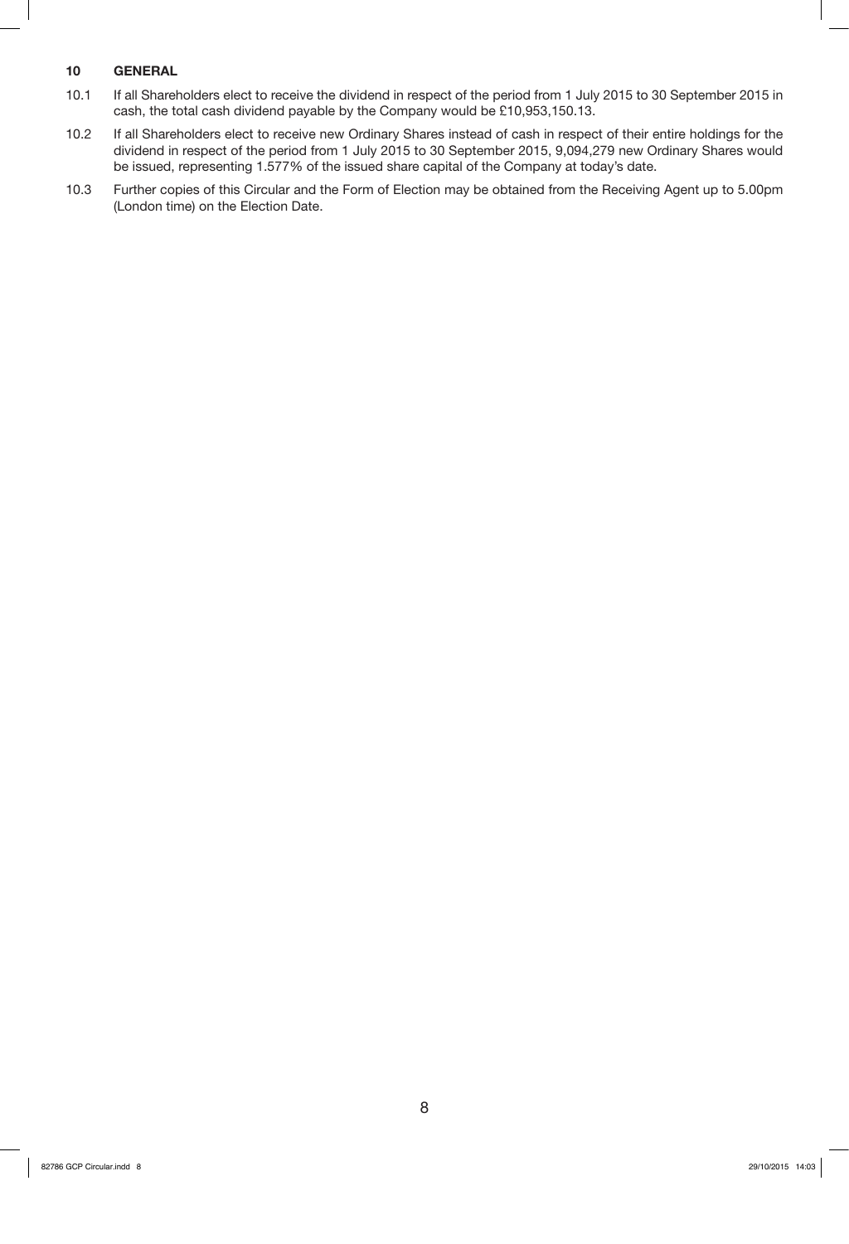## **10 GENERAL**

- 10.1 If all Shareholders elect to receive the dividend in respect of the period from 1 July 2015 to 30 September 2015 in cash, the total cash dividend payable by the Company would be £10,953,150.13.
- 10.2 If all Shareholders elect to receive new Ordinary Shares instead of cash in respect of their entire holdings for the dividend in respect of the period from 1 July 2015 to 30 September 2015, 9,094,279 new Ordinary Shares would be issued, representing 1.577% of the issued share capital of the Company at today's date.
- 10.3 Further copies of this Circular and the Form of Election may be obtained from the Receiving Agent up to 5.00pm (London time) on the Election Date.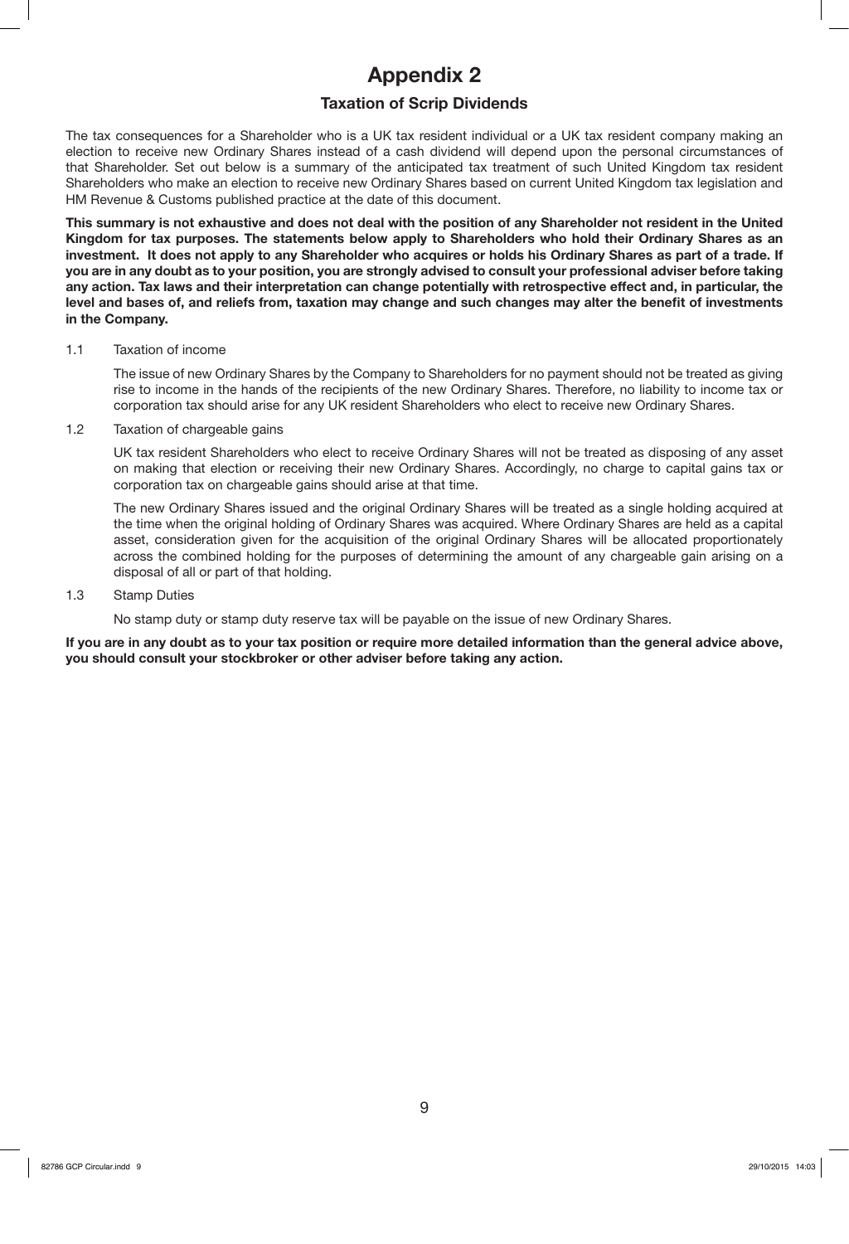# **Appendix 2**

## **Taxation of Scrip Dividends**

The tax consequences for a Shareholder who is a UK tax resident individual or a UK tax resident company making an election to receive new Ordinary Shares instead of a cash dividend will depend upon the personal circumstances of that Shareholder. Set out below is a summary of the anticipated tax treatment of such United Kingdom tax resident Shareholders who make an election to receive new Ordinary Shares based on current United Kingdom tax legislation and HM Revenue & Customs published practice at the date of this document.

**This summary is not exhaustive and does not deal with the position of any Shareholder not resident in the United Kingdom for tax purposes. The statements below apply to Shareholders who hold their Ordinary Shares as an investment. It does not apply to any Shareholder who acquires or holds his Ordinary Shares as part of a trade. If you are in any doubt as to your position, you are strongly advised to consult your professional adviser before taking any action. Tax laws and their interpretation can change potentially with retrospective effect and, in particular, the level and bases of, and reliefs from, taxation may change and such changes may alter the benefit of investments in the Company.**

#### 1.1 Taxation of income

The issue of new Ordinary Shares by the Company to Shareholders for no payment should not be treated as giving rise to income in the hands of the recipients of the new Ordinary Shares. Therefore, no liability to income tax or corporation tax should arise for any UK resident Shareholders who elect to receive new Ordinary Shares.

1.2 Taxation of chargeable gains

UK tax resident Shareholders who elect to receive Ordinary Shares will not be treated as disposing of any asset on making that election or receiving their new Ordinary Shares. Accordingly, no charge to capital gains tax or corporation tax on chargeable gains should arise at that time.

The new Ordinary Shares issued and the original Ordinary Shares will be treated as a single holding acquired at the time when the original holding of Ordinary Shares was acquired. Where Ordinary Shares are held as a capital asset, consideration given for the acquisition of the original Ordinary Shares will be allocated proportionately across the combined holding for the purposes of determining the amount of any chargeable gain arising on a disposal of all or part of that holding.

### 1.3 Stamp Duties

No stamp duty or stamp duty reserve tax will be payable on the issue of new Ordinary Shares.

**If you are in any doubt as to your tax position or require more detailed information than the general advice above, you should consult your stockbroker or other adviser before taking any action.**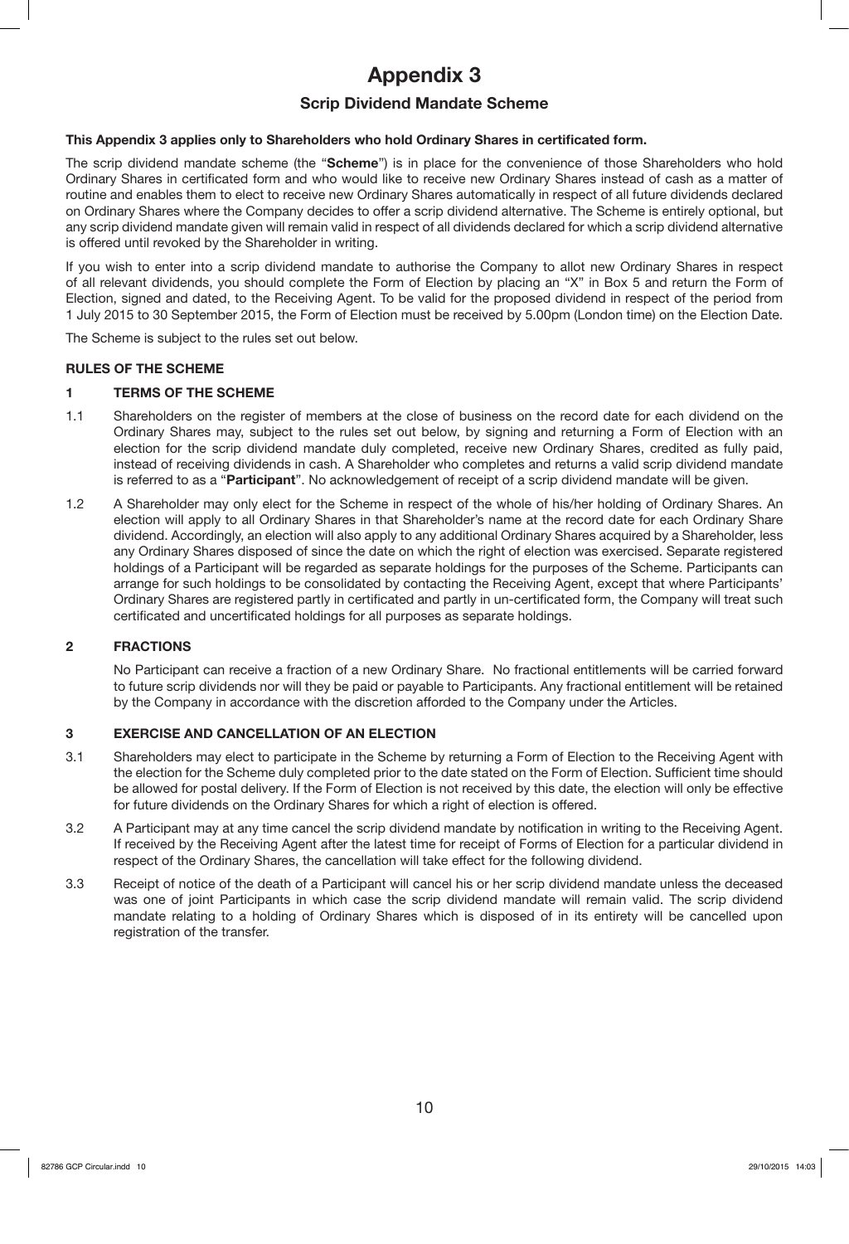# **Appendix 3**

## **Scrip Dividend Mandate Scheme**

## **This Appendix 3 applies only to Shareholders who hold Ordinary Shares in certificated form.**

The scrip dividend mandate scheme (the "**Scheme**") is in place for the convenience of those Shareholders who hold Ordinary Shares in certificated form and who would like to receive new Ordinary Shares instead of cash as a matter of routine and enables them to elect to receive new Ordinary Shares automatically in respect of all future dividends declared on Ordinary Shares where the Company decides to offer a scrip dividend alternative. The Scheme is entirely optional, but any scrip dividend mandate given will remain valid in respect of all dividends declared for which a scrip dividend alternative is offered until revoked by the Shareholder in writing.

If you wish to enter into a scrip dividend mandate to authorise the Company to allot new Ordinary Shares in respect of all relevant dividends, you should complete the Form of Election by placing an "X" in Box 5 and return the Form of Election, signed and dated, to the Receiving Agent. To be valid for the proposed dividend in respect of the period from 1 July 2015 to 30 September 2015, the Form of Election must be received by 5.00pm (London time) on the Election Date.

The Scheme is subject to the rules set out below.

## **RULES OF THE SCHEME**

## **1 TERMS OF THE SCHEME**

- 1.1 Shareholders on the register of members at the close of business on the record date for each dividend on the Ordinary Shares may, subject to the rules set out below, by signing and returning a Form of Election with an election for the scrip dividend mandate duly completed, receive new Ordinary Shares, credited as fully paid, instead of receiving dividends in cash. A Shareholder who completes and returns a valid scrip dividend mandate is referred to as a "**Participant**". No acknowledgement of receipt of a scrip dividend mandate will be given.
- 1.2 A Shareholder may only elect for the Scheme in respect of the whole of his/her holding of Ordinary Shares. An election will apply to all Ordinary Shares in that Shareholder's name at the record date for each Ordinary Share dividend. Accordingly, an election will also apply to any additional Ordinary Shares acquired by a Shareholder, less any Ordinary Shares disposed of since the date on which the right of election was exercised. Separate registered holdings of a Participant will be regarded as separate holdings for the purposes of the Scheme. Participants can arrange for such holdings to be consolidated by contacting the Receiving Agent, except that where Participants' Ordinary Shares are registered partly in certificated and partly in un-certificated form, the Company will treat such certificated and uncertificated holdings for all purposes as separate holdings.

## **2 FRACTIONS**

No Participant can receive a fraction of a new Ordinary Share. No fractional entitlements will be carried forward to future scrip dividends nor will they be paid or payable to Participants. Any fractional entitlement will be retained by the Company in accordance with the discretion afforded to the Company under the Articles.

## **3 EXERCISE AND CANCELLATION OF AN ELECTION**

- 3.1 Shareholders may elect to participate in the Scheme by returning a Form of Election to the Receiving Agent with the election for the Scheme duly completed prior to the date stated on the Form of Election. Sufficient time should be allowed for postal delivery. If the Form of Election is not received by this date, the election will only be effective for future dividends on the Ordinary Shares for which a right of election is offered.
- 3.2 A Participant may at any time cancel the scrip dividend mandate by notification in writing to the Receiving Agent. If received by the Receiving Agent after the latest time for receipt of Forms of Election for a particular dividend in respect of the Ordinary Shares, the cancellation will take effect for the following dividend.
- 3.3 Receipt of notice of the death of a Participant will cancel his or her scrip dividend mandate unless the deceased was one of joint Participants in which case the scrip dividend mandate will remain valid. The scrip dividend mandate relating to a holding of Ordinary Shares which is disposed of in its entirety will be cancelled upon registration of the transfer.